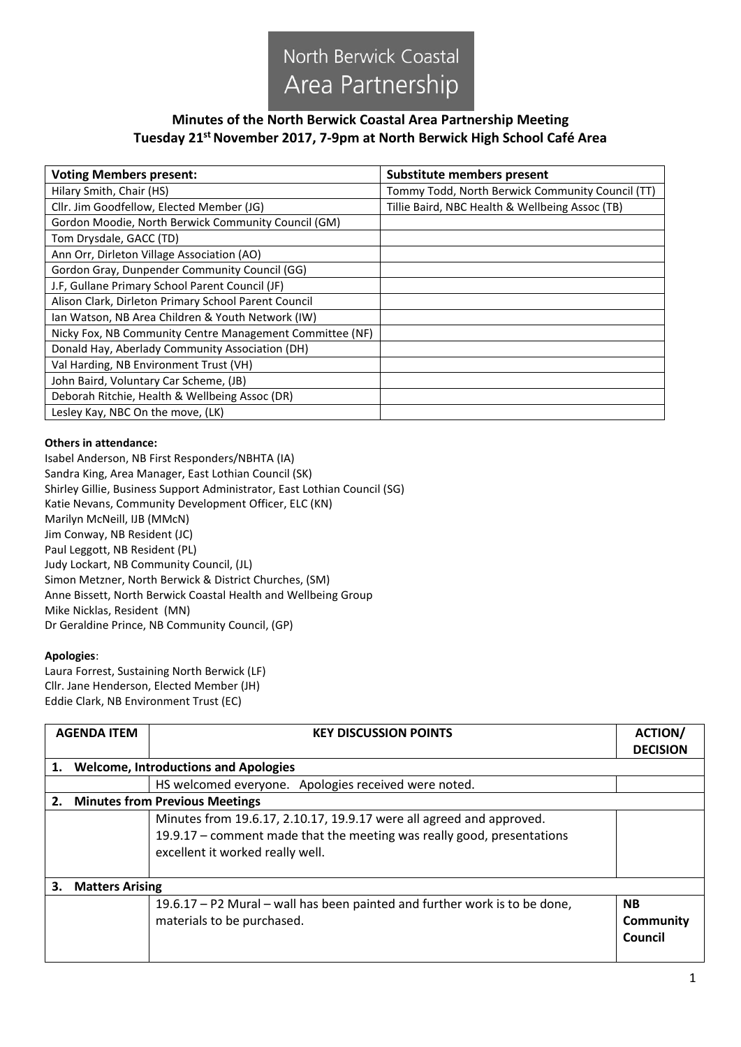

## **Minutes of the North Berwick Coastal Area Partnership Meeting Tuesday 21st November 2017, 7-9pm at North Berwick High School Café Area**

| <b>Voting Members present:</b>                           | Substitute members present                       |  |
|----------------------------------------------------------|--------------------------------------------------|--|
| Hilary Smith, Chair (HS)                                 | Tommy Todd, North Berwick Community Council (TT) |  |
| Cllr. Jim Goodfellow, Elected Member (JG)                | Tillie Baird, NBC Health & Wellbeing Assoc (TB)  |  |
| Gordon Moodie, North Berwick Community Council (GM)      |                                                  |  |
| Tom Drysdale, GACC (TD)                                  |                                                  |  |
| Ann Orr, Dirleton Village Association (AO)               |                                                  |  |
| Gordon Gray, Dunpender Community Council (GG)            |                                                  |  |
| J.F, Gullane Primary School Parent Council (JF)          |                                                  |  |
| Alison Clark, Dirleton Primary School Parent Council     |                                                  |  |
| Ian Watson, NB Area Children & Youth Network (IW)        |                                                  |  |
| Nicky Fox, NB Community Centre Management Committee (NF) |                                                  |  |
| Donald Hay, Aberlady Community Association (DH)          |                                                  |  |
| Val Harding, NB Environment Trust (VH)                   |                                                  |  |
| John Baird, Voluntary Car Scheme, (JB)                   |                                                  |  |
| Deborah Ritchie, Health & Wellbeing Assoc (DR)           |                                                  |  |
| Lesley Kay, NBC On the move, (LK)                        |                                                  |  |

## **Others in attendance:**

Isabel Anderson, NB First Responders/NBHTA (IA) Sandra King, Area Manager, East Lothian Council (SK) Shirley Gillie, Business Support Administrator, East Lothian Council (SG) Katie Nevans, Community Development Officer, ELC (KN) Marilyn McNeill, IJB (MMcN) Jim Conway, NB Resident (JC) Paul Leggott, NB Resident (PL) Judy Lockart, NB Community Council, (JL) Simon Metzner, North Berwick & District Churches, (SM) Anne Bissett, North Berwick Coastal Health and Wellbeing Group Mike Nicklas, Resident (MN) Dr Geraldine Prince, NB Community Council, (GP)

## **Apologies**:

Laura Forrest, Sustaining North Berwick (LF) Cllr. Jane Henderson, Elected Member (JH) Eddie Clark, NB Environment Trust (EC)

|    | <b>AGENDA ITEM</b>                          | <b>KEY DISCUSSION POINTS</b>                                                                                                                                                       | <b>ACTION/</b><br><b>DECISION</b> |
|----|---------------------------------------------|------------------------------------------------------------------------------------------------------------------------------------------------------------------------------------|-----------------------------------|
| 1. | <b>Welcome, Introductions and Apologies</b> |                                                                                                                                                                                    |                                   |
|    |                                             | HS welcomed everyone. Apologies received were noted.                                                                                                                               |                                   |
| 2. | <b>Minutes from Previous Meetings</b>       |                                                                                                                                                                                    |                                   |
|    |                                             | Minutes from 19.6.17, 2.10.17, 19.9.17 were all agreed and approved.<br>19.9.17 - comment made that the meeting was really good, presentations<br>excellent it worked really well. |                                   |
| 3. | <b>Matters Arising</b>                      |                                                                                                                                                                                    |                                   |
|    |                                             | 19.6.17 – P2 Mural – wall has been painted and further work is to be done,<br>materials to be purchased.                                                                           | <b>NB</b><br>Community<br>Council |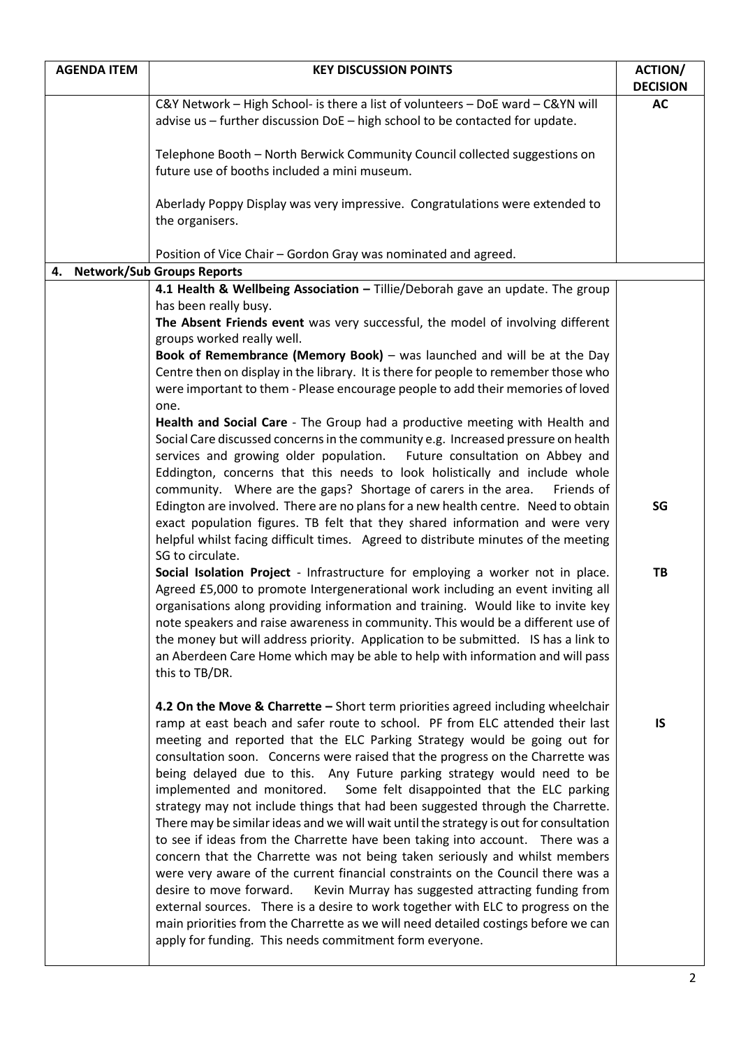| <b>AGENDA ITEM</b>            | <b>KEY DISCUSSION POINTS</b>                                                                                                                                           | <b>ACTION/</b>  |
|-------------------------------|------------------------------------------------------------------------------------------------------------------------------------------------------------------------|-----------------|
|                               |                                                                                                                                                                        | <b>DECISION</b> |
|                               | C&Y Network - High School- is there a list of volunteers - DoE ward - C&YN will<br>advise us - further discussion DoE - high school to be contacted for update.        | <b>AC</b>       |
|                               |                                                                                                                                                                        |                 |
|                               | Telephone Booth - North Berwick Community Council collected suggestions on                                                                                             |                 |
|                               | future use of booths included a mini museum.                                                                                                                           |                 |
|                               |                                                                                                                                                                        |                 |
|                               | Aberlady Poppy Display was very impressive. Congratulations were extended to                                                                                           |                 |
|                               | the organisers.                                                                                                                                                        |                 |
|                               | Position of Vice Chair - Gordon Gray was nominated and agreed.                                                                                                         |                 |
| 4. Network/Sub Groups Reports |                                                                                                                                                                        |                 |
|                               | 4.1 Health & Wellbeing Association - Tillie/Deborah gave an update. The group                                                                                          |                 |
|                               | has been really busy.                                                                                                                                                  |                 |
|                               | The Absent Friends event was very successful, the model of involving different                                                                                         |                 |
|                               | groups worked really well.                                                                                                                                             |                 |
|                               | Book of Remembrance (Memory Book) - was launched and will be at the Day                                                                                                |                 |
|                               | Centre then on display in the library. It is there for people to remember those who                                                                                    |                 |
|                               | were important to them - Please encourage people to add their memories of loved<br>one.                                                                                |                 |
|                               | Health and Social Care - The Group had a productive meeting with Health and                                                                                            |                 |
|                               | Social Care discussed concerns in the community e.g. Increased pressure on health                                                                                      |                 |
|                               | services and growing older population.<br>Future consultation on Abbey and                                                                                             |                 |
|                               | Eddington, concerns that this needs to look holistically and include whole                                                                                             |                 |
|                               | community. Where are the gaps? Shortage of carers in the area.<br>Friends of                                                                                           |                 |
|                               | Edington are involved. There are no plans for a new health centre. Need to obtain                                                                                      | SG              |
|                               | exact population figures. TB felt that they shared information and were very                                                                                           |                 |
|                               | helpful whilst facing difficult times. Agreed to distribute minutes of the meeting                                                                                     |                 |
|                               | SG to circulate.<br>Social Isolation Project - Infrastructure for employing a worker not in place.                                                                     | TB              |
|                               | Agreed £5,000 to promote Intergenerational work including an event inviting all                                                                                        |                 |
|                               | organisations along providing information and training. Would like to invite key                                                                                       |                 |
|                               | note speakers and raise awareness in community. This would be a different use of                                                                                       |                 |
|                               | the money but will address priority. Application to be submitted. IS has a link to                                                                                     |                 |
|                               | an Aberdeen Care Home which may be able to help with information and will pass                                                                                         |                 |
|                               | this to TB/DR.                                                                                                                                                         |                 |
|                               |                                                                                                                                                                        |                 |
|                               | 4.2 On the Move & Charrette - Short term priorities agreed including wheelchair                                                                                        |                 |
|                               | ramp at east beach and safer route to school. PF from ELC attended their last<br>meeting and reported that the ELC Parking Strategy would be going out for             | IS              |
|                               | consultation soon. Concerns were raised that the progress on the Charrette was                                                                                         |                 |
|                               | being delayed due to this. Any Future parking strategy would need to be                                                                                                |                 |
|                               | implemented and monitored.<br>Some felt disappointed that the ELC parking                                                                                              |                 |
|                               | strategy may not include things that had been suggested through the Charrette.                                                                                         |                 |
|                               | There may be similar ideas and we will wait until the strategy is out for consultation                                                                                 |                 |
|                               | to see if ideas from the Charrette have been taking into account. There was a                                                                                          |                 |
|                               | concern that the Charrette was not being taken seriously and whilst members                                                                                            |                 |
|                               | were very aware of the current financial constraints on the Council there was a                                                                                        |                 |
|                               | desire to move forward.<br>Kevin Murray has suggested attracting funding from                                                                                          |                 |
|                               | external sources. There is a desire to work together with ELC to progress on the<br>main priorities from the Charrette as we will need detailed costings before we can |                 |
|                               | apply for funding. This needs commitment form everyone.                                                                                                                |                 |
|                               |                                                                                                                                                                        |                 |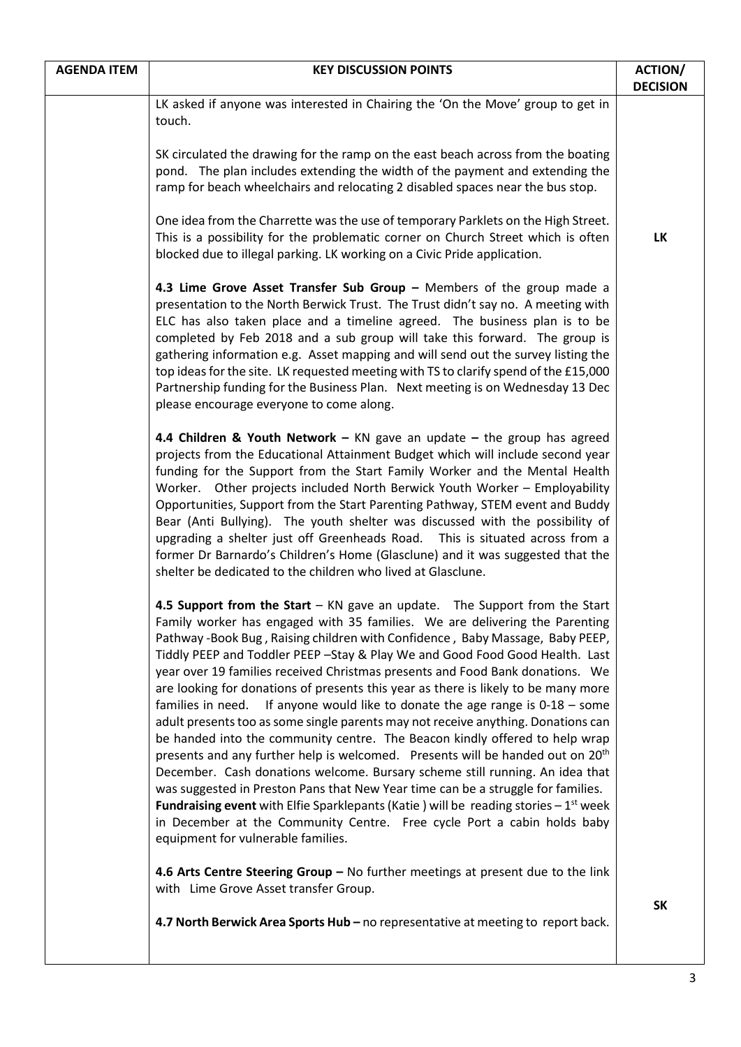| <b>AGENDA ITEM</b> | <b>KEY DISCUSSION POINTS</b>                                                                                                                                                                                                                                                                                                                                                                                                                                                                                                                                                                                                                                                                                                                                                                                                                                                                                                                                                                                                                                                                                                                                                                                                                        | <b>ACTION/</b><br><b>DECISION</b> |
|--------------------|-----------------------------------------------------------------------------------------------------------------------------------------------------------------------------------------------------------------------------------------------------------------------------------------------------------------------------------------------------------------------------------------------------------------------------------------------------------------------------------------------------------------------------------------------------------------------------------------------------------------------------------------------------------------------------------------------------------------------------------------------------------------------------------------------------------------------------------------------------------------------------------------------------------------------------------------------------------------------------------------------------------------------------------------------------------------------------------------------------------------------------------------------------------------------------------------------------------------------------------------------------|-----------------------------------|
|                    | LK asked if anyone was interested in Chairing the 'On the Move' group to get in<br>touch.                                                                                                                                                                                                                                                                                                                                                                                                                                                                                                                                                                                                                                                                                                                                                                                                                                                                                                                                                                                                                                                                                                                                                           |                                   |
|                    | SK circulated the drawing for the ramp on the east beach across from the boating<br>pond. The plan includes extending the width of the payment and extending the<br>ramp for beach wheelchairs and relocating 2 disabled spaces near the bus stop.                                                                                                                                                                                                                                                                                                                                                                                                                                                                                                                                                                                                                                                                                                                                                                                                                                                                                                                                                                                                  |                                   |
|                    | One idea from the Charrette was the use of temporary Parklets on the High Street.<br>This is a possibility for the problematic corner on Church Street which is often<br>blocked due to illegal parking. LK working on a Civic Pride application.                                                                                                                                                                                                                                                                                                                                                                                                                                                                                                                                                                                                                                                                                                                                                                                                                                                                                                                                                                                                   | <b>LK</b>                         |
|                    | 4.3 Lime Grove Asset Transfer Sub Group - Members of the group made a<br>presentation to the North Berwick Trust. The Trust didn't say no. A meeting with<br>ELC has also taken place and a timeline agreed. The business plan is to be<br>completed by Feb 2018 and a sub group will take this forward. The group is<br>gathering information e.g. Asset mapping and will send out the survey listing the<br>top ideas for the site. LK requested meeting with TS to clarify spend of the £15,000<br>Partnership funding for the Business Plan. Next meeting is on Wednesday 13 Dec<br>please encourage everyone to come along.                                                                                                                                                                                                                                                                                                                                                                                                                                                                                                                                                                                                                    |                                   |
|                    | 4.4 Children & Youth Network - KN gave an update - the group has agreed<br>projects from the Educational Attainment Budget which will include second year<br>funding for the Support from the Start Family Worker and the Mental Health<br>Worker. Other projects included North Berwick Youth Worker - Employability<br>Opportunities, Support from the Start Parenting Pathway, STEM event and Buddy<br>Bear (Anti Bullying). The youth shelter was discussed with the possibility of<br>upgrading a shelter just off Greenheads Road. This is situated across from a<br>former Dr Barnardo's Children's Home (Glasclune) and it was suggested that the<br>shelter be dedicated to the children who lived at Glasclune.                                                                                                                                                                                                                                                                                                                                                                                                                                                                                                                           |                                   |
|                    | 4.5 Support from the Start - KN gave an update. The Support from the Start<br>Family worker has engaged with 35 families. We are delivering the Parenting<br>Pathway -Book Bug, Raising children with Confidence, Baby Massage, Baby PEEP,<br>Tiddly PEEP and Toddler PEEP - Stay & Play We and Good Food Good Health. Last<br>year over 19 families received Christmas presents and Food Bank donations. We<br>are looking for donations of presents this year as there is likely to be many more<br>If anyone would like to donate the age range is $0-18$ – some<br>families in need.<br>adult presents too as some single parents may not receive anything. Donations can<br>be handed into the community centre. The Beacon kindly offered to help wrap<br>presents and any further help is welcomed. Presents will be handed out on 20 <sup>th</sup><br>December. Cash donations welcome. Bursary scheme still running. An idea that<br>was suggested in Preston Pans that New Year time can be a struggle for families.<br><b>Fundraising event</b> with Elfie Sparklepants (Katie ) will be reading stories $-1^{st}$ week<br>in December at the Community Centre. Free cycle Port a cabin holds baby<br>equipment for vulnerable families. |                                   |
|                    | 4.6 Arts Centre Steering Group - No further meetings at present due to the link<br>with Lime Grove Asset transfer Group.                                                                                                                                                                                                                                                                                                                                                                                                                                                                                                                                                                                                                                                                                                                                                                                                                                                                                                                                                                                                                                                                                                                            | <b>SK</b>                         |
|                    | 4.7 North Berwick Area Sports Hub - no representative at meeting to report back.                                                                                                                                                                                                                                                                                                                                                                                                                                                                                                                                                                                                                                                                                                                                                                                                                                                                                                                                                                                                                                                                                                                                                                    |                                   |